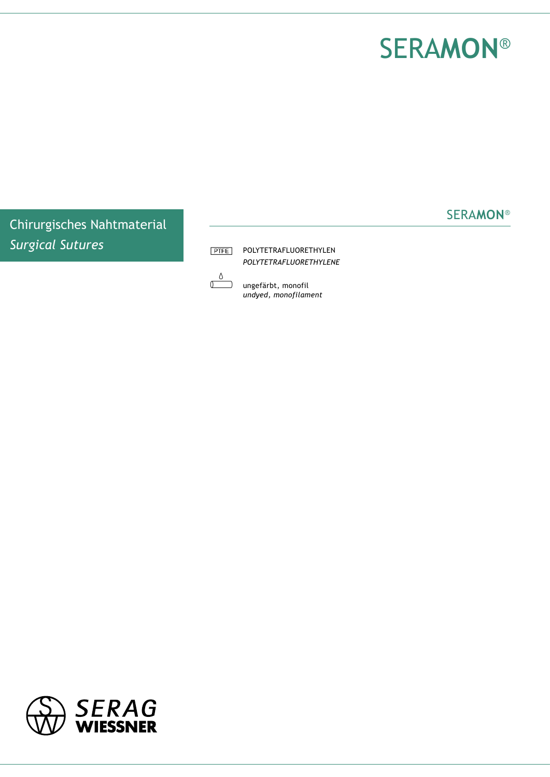## SERa**mon**®

SERA**mon**®

Chirurgisches Nahtmaterial *Surgical Sutures*

**PTFE** POLYTETRAFLUORETHYLEN *POLYTETRAFLUORETHYLENe*

U ungefärbt, monofil *undyed, monofilament*

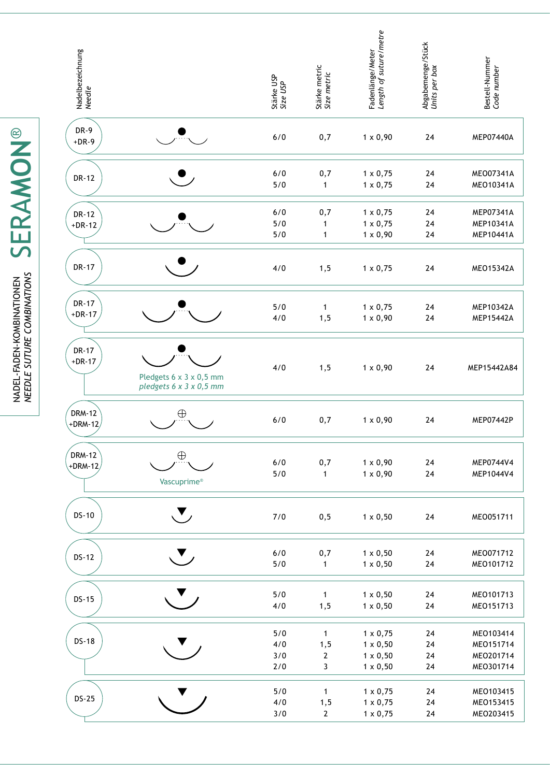| Nadelbezeichnung<br><i>Needle</i> |                                                    | Stärke USP<br>Size USP   | Stärke metric<br>Size metric              | Fadenlänge/Meter<br><i>Length of suture/metre</i>                        | Abgabemenge/Stück<br>Units per box | Bestell-Nummer<br>Code number                    |
|-----------------------------------|----------------------------------------------------|--------------------------|-------------------------------------------|--------------------------------------------------------------------------|------------------------------------|--------------------------------------------------|
| DR-9<br>$+DR-9$                   |                                                    | 6/0                      | 0,7                                       | $1 \times 0,90$                                                          | 24                                 | MEP07440A                                        |
| <b>DR-12</b>                      |                                                    | 6/0<br>5/0               | 0,7<br>1                                  | $1 \times 0,75$<br>$1 \times 0,75$                                       | 24<br>24                           | MEO07341A<br>MEO10341A                           |
| <b>DR-12</b><br>$+DR-12$          |                                                    | 6/0<br>5/0<br>5/0        | 0,7<br>1<br>1                             | $1 \times 0,75$<br>$1 \times 0,75$<br>$1 \times 0,90$                    | 24<br>24<br>24                     | MEP07341A<br>MEP10341A<br>MEP10441A              |
| <b>DR-17</b>                      |                                                    | 4/0                      | 1, 5                                      | $1 \times 0,75$                                                          | 24                                 | MEO15342A                                        |
| <b>DR-17</b><br>$+DR-17$          |                                                    | 5/0<br>4/0               | 1<br>1, 5                                 | $1 \times 0,75$<br>$1 \times 0,90$                                       | 24<br>24                           | MEP10342A<br>MEP15442A                           |
| <b>DR-17</b><br>$+DR-17$          | Pledgets 6 x 3 x 0,5 mm<br>pledgets 6 x 3 x 0,5 mm | 4/0                      | 1, 5                                      | $1 \times 0,90$                                                          | 24                                 | MEP15442A84                                      |
| <b>DRM-12</b><br>+DRM-12          | $\bigoplus$                                        | 6/0                      | 0,7                                       | $1 \times 0,90$                                                          | 24                                 | MEP07442P                                        |
| <b>DRM-12</b><br>$+DRM-12$        | $\oplus$<br>Vascuprime®                            | $6/0$<br>5/0             | 0,7<br>1                                  | $1 \times 0,90$<br>$1 \times 0,90$                                       | 24<br>24                           | MEP0744V4<br>MEP1044V4                           |
| <b>DS-10</b>                      | $\blacktriangledown$                               | 7/0                      | 0,5                                       | $1 \times 0,50$                                                          | 24                                 | MEO051711                                        |
| <b>DS-12</b>                      | $\blacktriangledown$                               | $6/0$<br>5/0             | 0,7<br>$\mathbf{1}$                       | $1 \times 0,50$<br>$1 \times 0,50$                                       | 24<br>24                           | MEO071712<br>MEO101712                           |
| <b>DS-15</b>                      |                                                    | 5/0<br>4/0               | $\mathbf{1}$<br>1, 5                      | $1 \times 0,50$<br>$1 \times 0,50$                                       | 24<br>24                           | MEO101713<br>MEO151713                           |
| <b>DS-18</b>                      |                                                    | 5/0<br>4/0<br>3/0<br>2/0 | $\mathbf{1}$<br>1, 5<br>$\mathbf{2}$<br>3 | $1 \times 0,75$<br>$1 \times 0,50$<br>$1 \times 0,50$<br>$1 \times 0,50$ | 24<br>24<br>24<br>24               | MEO103414<br>MEO151714<br>MEO201714<br>MEO301714 |
| <b>DS-25</b>                      |                                                    | 5/0<br>4/0<br>3/0        | $\mathbf{1}$<br>1, 5<br>$\overline{2}$    | $1 \times 0,75$<br>$1 \times 0,75$<br>$1 \times 0,75$                    | 24<br>24<br>$24\,$                 | MEO103415<br>MEO153415<br>MEO203415              |

NADEL-FADEN-KOMBINATIONEN SERAMON<sup>®</sup> SERA**mon**® *needle suture combinations* nadel-faden-kombinationen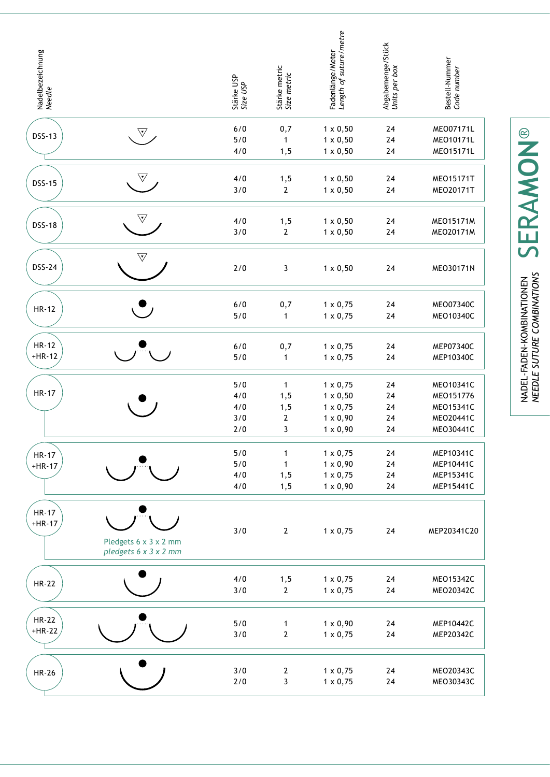| Nadelbezeichnung<br>Needle |                                                | Stärke USP<br>Size USP          | Stärke metric<br>Size metric                     | Length of suture/metre<br>Fadenlänge/Meter                                                  | Abgabemenge/Stück<br>Units per box | Bestell-Nummer<br>Code number                                 |
|----------------------------|------------------------------------------------|---------------------------------|--------------------------------------------------|---------------------------------------------------------------------------------------------|------------------------------------|---------------------------------------------------------------|
| <b>DSS-13</b>              | $\nabla$                                       | 6/0<br>5/0<br>4/0               | 0,7<br>$\mathbf{1}$<br>1, 5                      | $1 \times 0,50$<br>$1 \times 0,50$<br>$1 \times 0,50$                                       | 24<br>24<br>24                     | MEO07171L<br>MEO10171L<br>MEO15171L                           |
| <b>DSS-15</b>              | $\bigtriangledown$                             | 4/0<br>3/0                      | 1, 5<br>$\overline{2}$                           | $1 \times 0,50$<br>$1 \times 0,50$                                                          | 24<br>24                           | MEO15171T<br>MEO20171T                                        |
| <b>DSS-18</b>              | $\triangledown$                                | 4/0<br>3/0                      | 1, 5<br>$\overline{2}$                           | $1 \times 0,50$<br>$1 \times 0,50$                                                          | 24<br>24                           | <b>MEO15171M</b><br>MEO20171M                                 |
| <b>DSS-24</b>              | $\overline{\nabla}$                            | 2/0                             | 3                                                | $1 \times 0,50$                                                                             | 24                                 | MEO30171N                                                     |
| <b>HR-12</b>               |                                                | 6/0<br>5/0                      | 0,7<br>$\mathbf{1}$                              | $1 \times 0,75$<br>$1 \times 0,75$                                                          | 24<br>24                           | MEO07340C<br>MEO10340C                                        |
| <b>HR-12</b><br>$+HR-12$   |                                                | 6/0<br>5/0                      | 0,7<br>$\mathbf{1}$                              | $1 \times 0,75$<br>$1 \times 0,75$                                                          | 24<br>24                           | MEP07340C<br>MEP10340C                                        |
| <b>HR-17</b>               |                                                | 5/0<br>4/0<br>4/0<br>3/0<br>2/0 | $\mathbf{1}$<br>1, 5<br>1, 5<br>$\mathbf 2$<br>3 | $1 \times 0,75$<br>$1 \times 0,50$<br>$1 \times 0,75$<br>$1 \times 0,90$<br>$1 \times 0,90$ | 24<br>24<br>24<br>24<br>24         | MEO10341C<br>MEO151776<br>MEO15341C<br>MEO20441C<br>MEO30441C |
| <b>HR-17</b><br>$+HR-17$   |                                                | 5/0<br>5/0<br>4/0<br>4/0        | $\mathbf{1}$<br>$\mathbf{1}$<br>1, 5<br>1,5      | $1 \times 0,75$<br>$1 \times 0,90$<br>$1 \times 0,75$<br>$1 \times 0,90$                    | 24<br>24<br>24<br>24               | MEP10341C<br>MEP10441C<br>MEP15341C<br>MEP15441C              |
| <b>HR-17</b><br>$+HR-17$   | Pledgets 6 x 3 x 2 mm<br>pledgets 6 x 3 x 2 mm | 3/0                             | $\mathbf{2}$                                     | $1 \times 0,75$                                                                             | 24                                 | MEP20341C20                                                   |
| <b>HR-22</b>               |                                                | 4/0<br>3/0                      | 1, 5<br>$\overline{2}$                           | $1 \times 0,75$<br>$1 \times 0,75$                                                          | 24<br>24                           | MEO15342C<br>MEO20342C                                        |
| <b>HR-22</b><br>$+HR-22$   |                                                | 5/0<br>3/0                      | $\mathbf{1}$<br>$\boldsymbol{2}$                 | $1 \times 0,90$<br>$1 \times 0,75$                                                          | 24<br>24                           | MEP10442C<br>MEP20342C                                        |
| <b>HR-26</b>               |                                                | 3/0<br>2/0                      | $\mathbf{2}$<br>$\mathbf{3}$                     | $1 \times 0,75$<br>$1 \times 0,75$                                                          | 24<br>24                           | MEO20343C<br>MEO30343C                                        |

NADEL-FADEN-KOMBINATIONEN SERAMON<sup>®</sup> SERA**mon**® nadel-faden-kombinationen *needle suture combinations*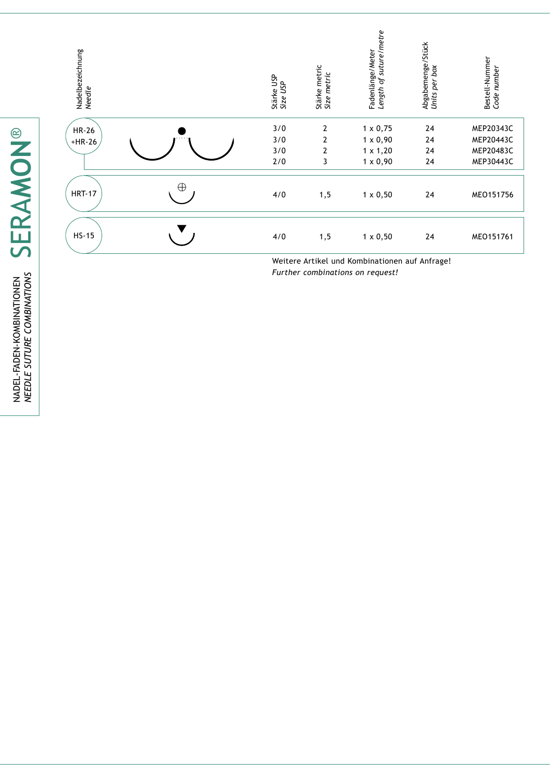| Nadelbezeichnung<br><i>Needle</i> |   | Stärke USP<br>Size USP | Stärke metric<br>Size metric | Fadenlänge/Meter<br><i>Length of suture/metre</i> | Abgabemenge/Stück<br>Units per box | Bestell-Nummer<br>Code number |
|-----------------------------------|---|------------------------|------------------------------|---------------------------------------------------|------------------------------------|-------------------------------|
| <b>HR-26</b>                      |   | 3/0                    | $\overline{2}$               | $1 \times 0,75$                                   | 24                                 | MEP20343C                     |
| $+HR-26$                          |   | 3/0<br>3/0             | $\overline{2}$<br>2          | $1 \times 0,90$<br>$1 \times 1,20$                | 24<br>24                           | MEP20443C<br>MEP20483C        |
|                                   |   | 2/0                    | 3                            | $1 \times 0,90$                                   | 24                                 | MEP30443C                     |
|                                   |   |                        |                              |                                                   |                                    |                               |
| <b>HRT-17</b>                     | Œ | 4/0                    | 1, 5                         | $1 \times 0,50$                                   | 24                                 | MEO151756                     |
| $HS-15$                           |   | 4/0                    | 1,5                          | $1 \times 0,50$                                   | 24                                 | MEO151761                     |

Weitere Artikel und Kombinationen auf Anfrage! *Further combinations on request!*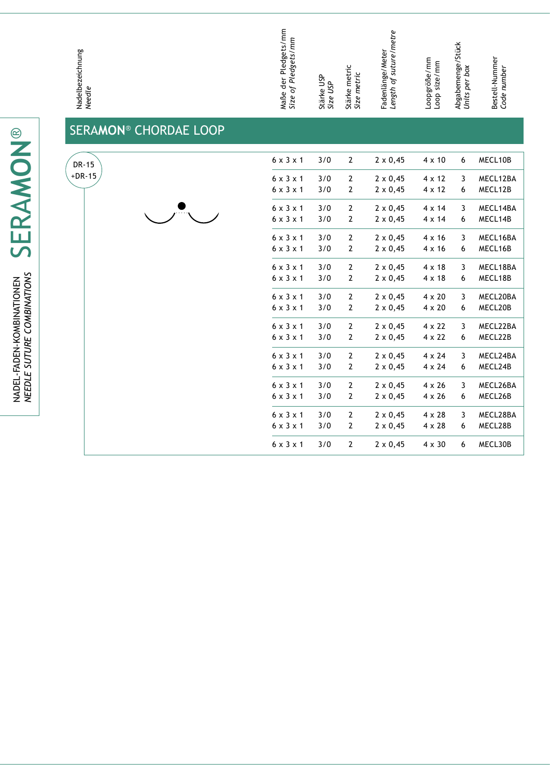Maße der Pledgets/mm<br>Size of Pledgets/mm Maße der Pledgets/mm *Size of Pledgets/mm* Stärke metric<br>Size metric Stärke metric *Size USP* Stärke USP SER A**MON** ® CHORDAE LOOP

Fadenlänge/Meter<br>Length of suture/metre *Length of suture/metre* Abgabemenge/Stück<br>Units per box Abgabemenge/Stück Fadenlänge/Meter Loopgröße/mm<br>Loop size/mm Loopgröße/mm Loop size/mm *Units per box Size metric* 6 x 3 x 1 3/0  $2 \times 0,45$   $4 \times 10$ 6 x 3 x 1 3/0 6 x 3 x 1 3/0 2 2 x 0,45 4 x 12 6 x 3 x 1 3/0

Bestell-Nummer *Code number*

Bestell-Nummer<br>Code number

| UTURE COMBINATIONS |  |
|--------------------|--|
|                    |  |
|                    |  |
|                    |  |
|                    |  |
|                    |  |

Nadelbezeichnung *Needle*

| DR-15    | $6 \times 3 \times 1$ | 3/0 | $\overline{2}$ | $2 \times 0,45$ | $4 \times 10$ | 6 | MECL10B  |
|----------|-----------------------|-----|----------------|-----------------|---------------|---|----------|
| $+DR-15$ | $6 \times 3 \times 1$ | 3/0 | $\overline{2}$ | $2 \times 0,45$ | 4 x 12        | 3 | MECL12BA |
|          | $6 \times 3 \times 1$ | 3/0 | $\overline{2}$ | $2 \times 0,45$ | $4 \times 12$ | 6 | MECL12B  |
|          | $6 \times 3 \times 1$ | 3/0 | $\overline{2}$ | $2 \times 0,45$ | $4 \times 14$ | 3 | MECL14BA |
|          | $6 \times 3 \times 1$ | 3/0 | $\overline{2}$ | $2 \times 0,45$ | $4 \times 14$ | 6 | MECL14B  |
|          | $6 \times 3 \times 1$ | 3/0 | $\overline{2}$ | $2 \times 0,45$ | $4 \times 16$ | 3 | MECL16BA |
|          | $6 \times 3 \times 1$ | 3/0 | $\overline{2}$ | $2 \times 0,45$ | $4 \times 16$ | 6 | MECL16B  |
|          | $6 \times 3 \times 1$ | 3/0 | $\overline{2}$ | $2 \times 0,45$ | $4 \times 18$ | 3 | MECL18BA |
|          | $6 \times 3 \times 1$ | 3/0 | $\overline{2}$ | $2 \times 0,45$ | $4 \times 18$ | 6 | MECL18B  |
|          | $6 \times 3 \times 1$ | 3/0 | $\overline{2}$ | $2 \times 0,45$ | $4 \times 20$ | 3 | MECL20BA |
|          | $6 \times 3 \times 1$ | 3/0 | $\overline{2}$ | $2 \times 0,45$ | $4 \times 20$ | 6 | MECL20B  |
|          | $6 \times 3 \times 1$ | 3/0 | $\overline{2}$ | $2 \times 0,45$ | $4 \times 22$ | 3 | MECL22BA |
|          | $6 \times 3 \times 1$ | 3/0 | $\overline{2}$ | $2 \times 0,45$ | $4 \times 22$ | 6 | MECL22B  |
|          | $6 \times 3 \times 1$ | 3/0 | $\overline{2}$ | $2 \times 0,45$ | $4 \times 24$ | 3 | MECL24BA |
|          | $6 \times 3 \times 1$ | 3/0 | $\overline{2}$ | $2 \times 0,45$ | $4 \times 24$ | 6 | MECL24B  |
|          | $6 \times 3 \times 1$ | 3/0 | $\overline{2}$ | $2 \times 0,45$ | $4 \times 26$ | 3 | MECL26BA |
|          | $6 \times 3 \times 1$ | 3/0 | $\overline{2}$ | $2 \times 0,45$ | $4 \times 26$ | 6 | MECL26B  |
|          | $6 \times 3 \times 1$ | 3/0 | $\overline{2}$ | $2 \times 0,45$ | $4 \times 28$ | 3 | MECL28BA |
|          | $6 \times 3 \times 1$ | 3/0 | $\overline{2}$ | $2 \times 0,45$ | $4 \times 28$ | 6 | MECL28B  |
|          | $6 \times 3 \times 1$ | 3/0 | 2              | $2 \times 0,45$ | $4 \times 30$ | 6 | MECL30B  |

CEDAMON® SERA**mon**® NADEL-FADEN-KOMBINATIONEN<br>NEEDLE SUTURE COMBINATIONS nadel-faden-kombinationen *needle suture combinations*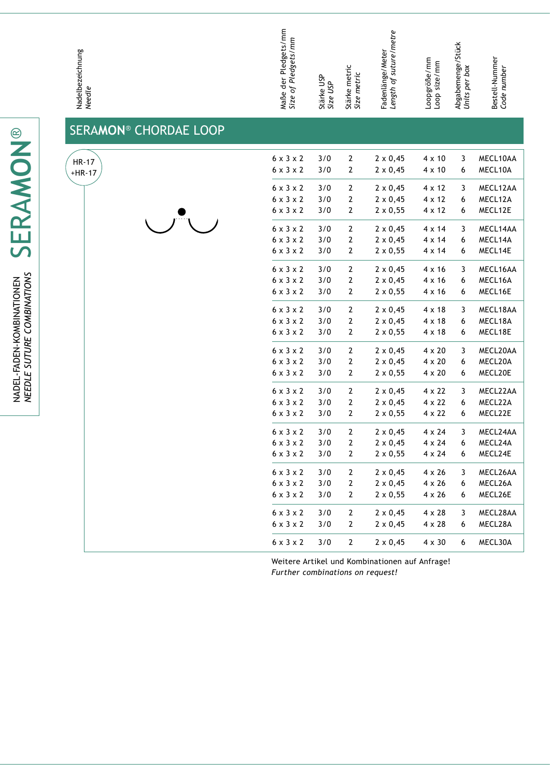| Nadelbezeichnung<br>Needle   | Maße der Pledgets/mm<br>Size of Pl <i>edgets/mm</i> | Stärke USP<br>Size USP | Stärke metric<br>Size metric | Fadenlänge/Meter<br><i>Length of suture/metre</i> | Loopgröße/mm<br>Loop size/mm | Abgabemenge/Stück<br>Units per box | Bestell-Nummer<br>Code number |
|------------------------------|-----------------------------------------------------|------------------------|------------------------------|---------------------------------------------------|------------------------------|------------------------------------|-------------------------------|
| <b>SERAMON® CHORDAE LOOP</b> |                                                     |                        |                              |                                                   |                              |                                    |                               |
| <b>HR-17</b>                 | $6 \times 3 \times 2$                               | 3/0                    | $\mathbf{2}$                 | $2 \times 0,45$                                   | $4 \times 10$                | 3                                  | MECL10AA                      |
| $+HR-17$                     | $6 \times 3 \times 2$                               | 3/0                    | $\overline{2}$               | $2 \times 0,45$                                   | $4 \times 10$                | 6                                  | MECL10A                       |
|                              | $6 \times 3 \times 2$                               | 3/0                    | $\overline{2}$               | $2 \times 0,45$                                   | $4 \times 12$                | 3                                  | MECL12AA                      |
|                              | $6 \times 3 \times 2$                               | 3/0                    | $\mathbf{2}$                 | $2 \times 0,45$                                   | $4 \times 12$                | 6                                  | MECL12A                       |
|                              | $6 \times 3 \times 2$                               | 3/0                    | $\overline{2}$               | $2 \times 0,55$                                   | $4 \times 12$                | 6                                  | MECL12E                       |
|                              | $6 \times 3 \times 2$                               | 3/0                    | $\overline{2}$               | $2 \times 0,45$                                   | $4 \times 14$                | 3                                  | MECL14AA                      |
|                              | $6 \times 3 \times 2$                               | 3/0                    | $\mathbf{2}$                 | $2 \times 0,45$                                   | $4 \times 14$                | 6                                  | MECL14A                       |
|                              | $6 \times 3 \times 2$                               | 3/0                    | $\mathbf{2}$                 | $2 \times 0,55$                                   | $4 \times 14$                | 6                                  | MECL14E                       |
|                              | $6 \times 3 \times 2$                               | 3/0                    | $\mathbf{2}$                 | $2 \times 0,45$                                   | $4 \times 16$                | 3                                  | MECL16AA                      |
|                              | $6 \times 3 \times 2$                               | 3/0                    | $\mathbf{2}$                 | $2 \times 0,45$                                   | $4 \times 16$                | 6                                  | MECL16A                       |
|                              | $6 \times 3 \times 2$                               | 3/0                    | $\overline{2}$               | $2 \times 0,55$                                   | $4 \times 16$                | 6                                  | MECL16E                       |
|                              | $6 \times 3 \times 2$                               | 3/0                    | $\mathbf 2$                  | $2 \times 0,45$                                   | $4 \times 18$                | 3                                  | MECL18AA                      |
|                              | $6 \times 3 \times 2$                               | 3/0                    | $\mathbf 2$                  | $2 \times 0,45$                                   | $4 \times 18$                | 6                                  | MECL18A                       |
|                              | $6 \times 3 \times 2$                               | 3/0                    | $\overline{2}$               | $2 \times 0,55$                                   | $4 \times 18$                | 6                                  | MECL18E                       |
|                              | $6 \times 3 \times 2$                               | 3/0                    | $\mathbf{2}$                 | $2 \times 0,45$                                   | $4 \times 20$                | 3                                  | MECL20AA                      |
|                              | $6 \times 3 \times 2$                               | 3/0                    | $\mathbf{2}$                 | $2 \times 0,45$                                   | $4 \times 20$                | 6                                  | MECL20A                       |
|                              | $6 \times 3 \times 2$                               | 3/0                    | $\mathbf{2}$                 | $2 \times 0,55$                                   | $4 \times 20$                | 6                                  | MECL20E                       |
|                              | $6 \times 3 \times 2$                               | 3/0                    | $\mathbf{2}$                 | $2 \times 0,45$                                   | $4 \times 22$                | 3                                  | MECL22AA                      |
|                              | $6 \times 3 \times 2$                               | 3/0                    | $\mathbf{2}$                 | $2 \times 0,45$                                   | $4 \times 22$                | 6                                  | MECL22A                       |
|                              | $6 \times 3 \times 2$                               | 3/0                    | $\mathbf 2$                  | $2 \times 0,55$                                   | $4 \times 22$                | 6                                  | MECL22E                       |
|                              | $6 \times 3 \times 2$                               | 3/0                    | $\mathbf{2}$                 | $2 \times 0,45$                                   | $4 \times 24$                | 3                                  | MECL24AA                      |
|                              | $6 \times 3 \times 2$                               | 3/0                    | $\mathbf{2}$                 | $2 \times 0,45$                                   | $4 \times 24$                | 6                                  | MECL24A                       |
|                              | $6 \times 3 \times 2$                               | 3/0                    | $\overline{2}$               | $2 \times 0,55$                                   | $4 \times 24$                | 6                                  | MECL24E                       |
|                              | $6 \times 3 \times 2$                               | 3/0                    | 2                            | $2 \times 0,45$                                   | $4 \times 26$                | 3                                  | MECL26AA                      |

 $6 \times 3 \times 2$  3/0

 $6 \times 3 \times 2$  3/0

 $6 \times 3 \times 2$  3/0

 $6 \times 3 \times 2$  3/0

 $6 \times 3 \times 2$  3/0

Weitere Artikel und Kombinationen auf Anfrage! *Further combinations on request!*

2 2 x 0,45 4 x 26

2 2 x 0,45 4 x 28

2 2 x 0,45 4 x 28

2  $2 \times 0,45$   $4 \times 30$ 

2 2 x 0,55 4 x 26 6 MECL26E

6 MECL26 A

3 MECL28AA

6 MECL28 A

6 MECL30 A